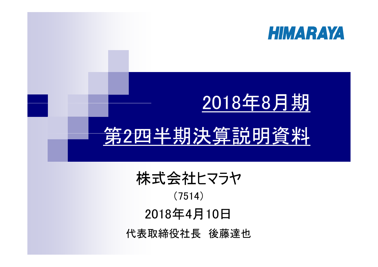

## 2018年8月期

## 第2四半期決算説明資料

| 株式会社ヒマラヤ     |
|--------------|
| (7514)       |
| 2018年4月10日   |
| 代表取締役社長 後藤達也 |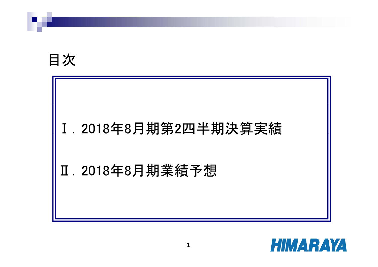目次

# Ⅰ.2018年8月期第2四半期決算実績 Ⅱ.2018年8月期業績予想

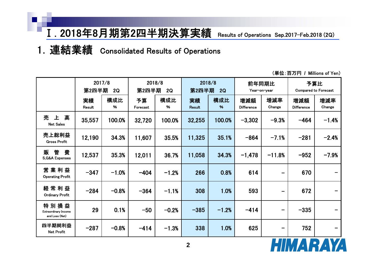1.連結業績 Consolidated Results of Operations

|                                                       | 2017/8<br>第2四半期<br>2Q |          | 2018/8<br>第2四半期 | 2Q       | 第2四半期               | 2018/8<br>2Q | Year-on-year             | 前年同期比                        |                          | 予算比<br><b>Compared to Forecast</b> |
|-------------------------------------------------------|-----------------------|----------|-----------------|----------|---------------------|--------------|--------------------------|------------------------------|--------------------------|------------------------------------|
|                                                       | 実績<br>Result          | 構成比<br>% | 予算<br>Forecast  | 構成比<br>% | 実績<br><b>Result</b> | 構成比<br>%     | 増減額<br><b>Difference</b> | 増減率<br>Change                | 増減額<br><b>Difference</b> | 増減率<br>Change                      |
| 高<br>売<br>上<br><b>Net Sales</b>                       | 35,557                | 100.0%   | 32,720          | 100.0%   | 32,255              | 100.0%       | $-3,302$                 | $-9.3%$                      | $-464$                   | $-1.4%$                            |
| 売上総利益<br><b>Gross Profit</b>                          | 12,190                | 34.3%    | 11,607          | 35.5%    | 11,325              | 35.1%        | $-864$                   | $-7.1%$                      | $-281$                   | $-2.4%$                            |
| 費<br>販<br>管<br><b>S,G&amp;A Expenses</b>              | 12,537                | 35.3%    | 12,011          | 36.7%    | 11,058              | 34.3%        | $-1,478$                 | $-11.8%$                     | $-952$                   | $-7.9%$                            |
| 営業利益<br><b>Operating Profit</b>                       | $-347$                | $-1.0%$  | $-404$          | $-1.2%$  | 266                 | 0.8%         | 614                      | $\qquad \qquad$              | 670                      |                                    |
| 常利益<br>経<br><b>Ordinary Profit</b>                    | $-284$                | $-0.8%$  | $-364$          | $-1.1%$  | 308                 | 1.0%         | 593                      | $\overline{\phantom{0}}$     | 672                      |                                    |
| 特別損益<br><b>Extraordinary Income</b><br>and Loss (Net) | 29                    | 0.1%     | $-50$           | $-0.2%$  | $-385$              | $-1.2%$      | $-414$                   | $\qquad \qquad \blacksquare$ | $-335$                   |                                    |
| 四半期純利益<br><b>Net Profit</b>                           | $-287$                | $-0.8%$  | $-414$          | $-1.3%$  | 338                 | 1.0%         | 625                      | -                            | 752                      |                                    |

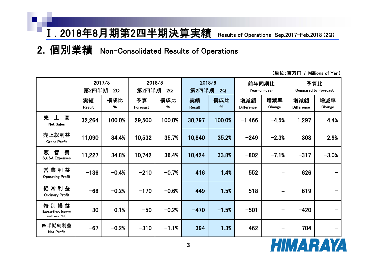2.個別業績 Non-Consolidated Results of Operations

|                                                       | 2017/8<br>第2四半期<br>2Q |          | 2018/8<br>第2四半期 | 2Q       | 第2四半期               | 2018/8<br>2Q | 前年同期比                    | Year-on-year             |                          | 予算比<br><b>Compared to Forecast</b> |
|-------------------------------------------------------|-----------------------|----------|-----------------|----------|---------------------|--------------|--------------------------|--------------------------|--------------------------|------------------------------------|
|                                                       | 実績<br>Result          | 構成比<br>% | 予算<br>Forecast  | 構成比<br>% | 実績<br><b>Result</b> | 構成比<br>%     | 増減額<br><b>Difference</b> | 増減率<br>Change            | 増減額<br><b>Difference</b> | 増減率<br>Change                      |
| 高<br>売<br>上<br><b>Net Sales</b>                       | 32,264                | 100.0%   | 29,500          | 100.0%   | 30,797              | 100.0%       | $-1,466$                 | $-4.5%$                  | 1,297                    | 4.4%                               |
| 売上総利益<br><b>Gross Profit</b>                          | 11,090                | 34.4%    | 10,532          | 35.7%    | 10,840              | 35.2%        | $-249$                   | $-2.3%$                  | 308                      | 2.9%                               |
| 費<br>管<br>販<br><b>S,G&amp;A Expenses</b>              | 11,227                | 34.8%    | 10,742          | 36.4%    | 10,424              | 33.8%        | $-802$                   | $-7.1%$                  | $-317$                   | $-3.0%$                            |
| 営<br>業利益<br><b>Operating Profit</b>                   | $-136$                | $-0.4%$  | $-210$          | $-0.7%$  | 416                 | 1.4%         | 552                      | $\overline{\phantom{0}}$ | 626                      |                                    |
| 経常利益<br><b>Ordinary Profit</b>                        | $-68$                 | $-0.2%$  | $-170$          | $-0.6%$  | 449                 | 1.5%         | 518                      | $\overline{\phantom{0}}$ | 619                      | -                                  |
| 特別損益<br><b>Extraordinary Income</b><br>and Loss (Net) | 30                    | 0.1%     | $-50$           | $-0.2%$  | $-470$              | $-1.5%$      | $-501$                   | -                        | $-420$                   |                                    |
| 四半期純利益<br><b>Net Profit</b>                           | $-67$                 | $-0.2%$  | $-310$          | $-1.1%$  | 394                 | 1.3%         | 462                      | -                        | 704                      |                                    |

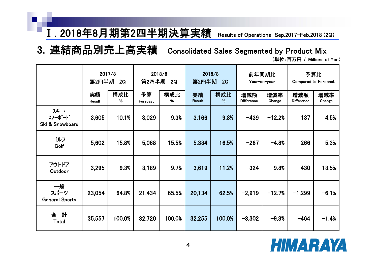3.連結商品別売上高実績 Consolidated Sales Segmented by Product Mix

|                                     | 2017/8<br>第2四半期<br>2Q |          | 第2四半期          | 2018/8<br>2Q | 2018/8<br>第2四半期     | 2Q       |                          | 前年同期比<br>Year-on-year |                          | 予算比<br><b>Compared to Forecast</b> |  |
|-------------------------------------|-----------------------|----------|----------------|--------------|---------------------|----------|--------------------------|-----------------------|--------------------------|------------------------------------|--|
|                                     | 実績<br>Result          | 構成比<br>% | 予算<br>Forecast | 構成比<br>%     | 実績<br><b>Result</b> | 構成比<br>% | 増減額<br><b>Difference</b> | 増減率<br>Change         | 増減額<br><b>Difference</b> | 増減率<br>Change                      |  |
| スキー・<br>スノーボード<br>Ski & Snowboard   | 3,605                 | 10.1%    | 3,029          | 9.3%         | 3,166               | 9.8%     | $-439$                   | $-12.2%$              | 137                      | 4.5%                               |  |
| ゴルフ<br>Golf                         | 5,602                 | 15.8%    | 5,068          | 15.5%        | 5,334               | 16.5%    | $-267$                   | $-4.8%$               | 266                      | 5.3%                               |  |
| アウトドア<br>Outdoor                    | 3,295                 | 9.3%     | 3,189          | 9.7%         | 3,619               | 11.2%    | 324                      | 9.8%                  | 430                      | 13.5%                              |  |
| 一般<br>スポーツ<br><b>General Sports</b> | 23,054                | 64.8%    | 21,434         | 65.5%        | 20,134              | 62.5%    | $-2,919$                 | $-12.7%$              | $-1,299$                 | $-6.1%$                            |  |
| 計<br>合<br>Total                     | 35,557                | 100.0%   | 32,720         | 100.0%       | 32,255              | 100.0%   | $-3,302$                 | $-9.3%$               | $-464$                   | $-1.4%$                            |  |

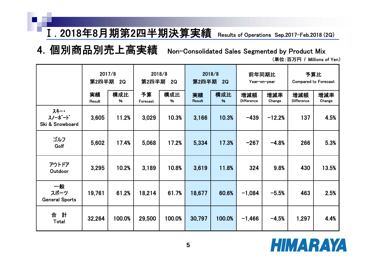4.個別商品別売上高実績 Non-Consolidated Sales Segmented by Product Mix

|                                     | 2017/8<br>第2四半期<br>2Q |          | 2018/8<br>第2四半期 | 2Q       | 2018/8<br>第2四半期     | 2Q       | 前年同期比                    | Year-on-year  |                          | 予算比<br><b>Compared to Forecast</b> |  |
|-------------------------------------|-----------------------|----------|-----------------|----------|---------------------|----------|--------------------------|---------------|--------------------------|------------------------------------|--|
|                                     | 実績<br>Result          | 構成比<br>% | 予算<br>Forecast  | 構成比<br>% | 実績<br><b>Result</b> | 構成比<br>% | 増減額<br><b>Difference</b> | 増減率<br>Change | 増減額<br><b>Difference</b> | 増減率<br>Change                      |  |
| スキー・<br>スノーボード<br>Ski & Snowboard   | 3,605                 | 11.2%    | 3,029           | 10.3%    | 3,166               | 10.3%    | $-439$                   | $-12.2%$      | 137                      | 4.5%                               |  |
| ゴルフ<br>Golf                         | 5,602                 | 17.4%    | 5,068           | 17.2%    | 5,334               | 17.3%    | $-267$                   | $-4.8%$       | 266                      | 5.3%                               |  |
| アウトドア<br>Outdoor                    | 3,295                 | 10.2%    | 3,189           | 10.8%    | 3,619               | 11.8%    | 324                      | 9.8%          | 430                      | 13.5%                              |  |
| 一般<br>スポーツ<br><b>General Sports</b> | 19,761                | 61.2%    | 18,214          | 61.7%    | 18,677              | 60.6%    | $-1,084$                 | $-5.5%$       | 463                      | 2.5%                               |  |
| 計<br>合<br>Total                     | 32,264                | 100.0%   | 29,500          | 100.0%   | 30,797              | 100.0%   | $-1,466$                 | $-4.5%$       | 1,297                    | 4.4%                               |  |

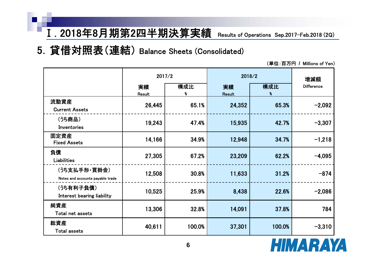5.貸借対照表(連結) Balance Sheets (Consolidated)

|                                                  | 2017/2       |          | 2018/2       |          | 増減額               |  |
|--------------------------------------------------|--------------|----------|--------------|----------|-------------------|--|
|                                                  | 実績<br>Result | 構成比<br>% | 実績<br>Result | 構成比<br>% | <b>Difference</b> |  |
| 流動資産<br><b>Current Assets</b>                    | 26,445       | 65.1%    | 24,352       | 65.3%    | $-2,092$          |  |
| (うち商品)<br>Inventories                            | 19,243       | 47.4%    | 15,935       | 42.7%    | $-3,307$          |  |
| 固定資産<br><b>Fixed Assets</b>                      | 14,166       | 34.9%    | 12,948       | 34.7%    | $-1,218$          |  |
| 負債<br>Liabilities                                | 27,305       | 67.2%    | 23,209       | 62.2%    | $-4,095$          |  |
| (うち支払手形・買掛金)<br>Notes and accounts payable trade | 12,508       | 30.8%    | 11,633       | 31.2%    | $-874$            |  |
| (うち有利子負債)<br>Interest bearing liability          | 10,525       | 25.9%    | 8,438        | 22.6%    | $-2,086$          |  |
| 純資産<br>Total net assets                          | 13,306       | 32.8%    | 14,091       | 37.8%    | 784               |  |
| 総資産<br><b>Total assets</b>                       | 40,611       | 100.0%   | 37,301       | 100.0%   | $-3,310$          |  |

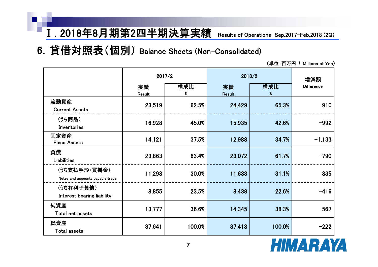#### 6.貸借対照表(個別) Balance Sheets (Non-Consolidated)

|                                                  |              | 2017/2   | 2018/2              |                          | 増減額               |  |
|--------------------------------------------------|--------------|----------|---------------------|--------------------------|-------------------|--|
|                                                  | 実績<br>Result | 構成比<br>% | 実績<br><b>Result</b> | 構成比<br>$\boldsymbol{\%}$ | <b>Difference</b> |  |
| 流動資産<br><b>Current Assets</b>                    | 23,519       | 62.5%    | 24,429              | 65.3%                    | 910               |  |
| (うち商品)<br>Inventories                            | 16,928       | 45.0%    | 15,935              | 42.6%                    | $-992$            |  |
| 固定資産<br><b>Fixed Assets</b>                      | 14,121       | 37.5%    | 12,988              | 34.7%                    | $-1,133$          |  |
| 負債<br><b>Liabilities</b>                         | 23,863       | 63.4%    | 23,072              | 61.7%                    | $-790$            |  |
| (うち支払手形・買掛金)<br>Notes and accounts payable trade | 11,298       | 30.0%    | 11,633              | 31.1%                    | 335               |  |
| (うち有利子負債)<br><b>Interest bearing liability</b>   | 8,855        | 23.5%    | 8,438               | 22.6%                    | $-416$            |  |
| 純資産<br>Total net assets                          | 13,777       | 36.6%    | 14,345              | 38.3%                    | 567               |  |
| 総資産<br><b>Total assets</b>                       | 37,641       | 100.0%   | 37,418              | 100.0%                   | $-222$            |  |

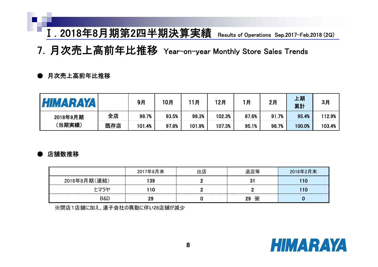7.月次売上高前年比推移 Year-on-year Monthly Store Sales Trends

#### ● 月次売上高前年比推移

| HIMARAYA           |     | 9月     | 10月   | 月      | 12月    | 月     | 2月    | 上期<br>累計 | 3月     |
|--------------------|-----|--------|-------|--------|--------|-------|-------|----------|--------|
| 2018年8月期<br>(当期実績) | 全店  | 99.7%  | 93.5% | 99.3%  | 102.3% | 87.6% | 91.7% | 95.4%    | 112.9% |
|                    | 既存店 | 101.4% | 97.8% | 101.9% | 107.3% | 95.1% | 96.7% | 100.0%   | 103.4% |

#### 店舗数推移

|                | 2017年8月末 | 出店 | 退店等     | 2018年2月末 |
|----------------|----------|----|---------|----------|
| 2018年8月期(連結)   |          |    |         |          |
| トマラヤ           |          |    |         |          |
| <b>B&amp;D</b> |          |    | Ж<br>29 |          |

※閉店1店舗に加え、連子会社の異動に伴い28店舗が減少

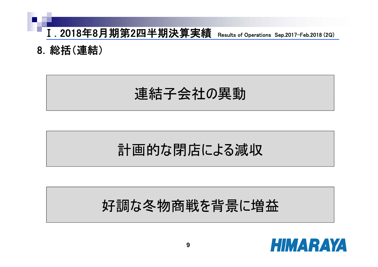

8.総括(連結)

連結子会社の異動

#### 計画的な閉店による減収

#### 好調な冬物商戦を背景に増益

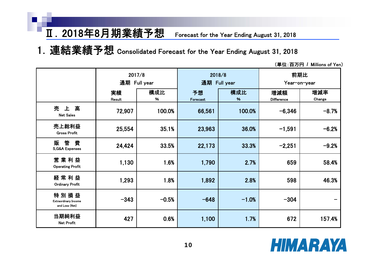#### Ⅱ.2018年8月期業績予想 Forecast for the Year Ending August 31, 2018

1.連結業績予想 Consolidated Forecast for the Year Ending August 31, 2018

|                                                       | 2017/8<br>通期 Full year |          | 通期             | 2018/8<br>Full year | 前期比<br>Year-on-year      |               |  |
|-------------------------------------------------------|------------------------|----------|----------------|---------------------|--------------------------|---------------|--|
|                                                       | 実績<br>Result           | 構成比<br>% | 予想<br>Forecast | 構成比<br>%            | 増減額<br><b>Difference</b> | 増減率<br>Change |  |
| 売<br>高<br>上<br><b>Net Sales</b>                       | 72,907                 | 100.0%   | 66,561         | 100.0%              | $-6,346$                 | $-8.7%$       |  |
| 売上総利益<br><b>Gross Profit</b>                          | 25,554                 | 35.1%    | 23,963         | 36.0%               | $-1,591$                 | $-6.2%$       |  |
| 管<br>費<br>販<br><b>S,G&amp;A Expenses</b>              | 24,424                 | 33.5%    | 22,173         | 33.3%               | $-2,251$                 | $-9.2%$       |  |
| 営業利益<br><b>Operating Profit</b>                       | 1,130                  | 1.6%     | 1,790          | 2.7%                | 659                      | 58.4%         |  |
| 経常利益<br><b>Ordinary Profit</b>                        | 1,293                  | 1.8%     | 1,892          | 2.8%                | 598                      | 46.3%         |  |
| 特別損益<br><b>Extraordinary Income</b><br>and Loss (Net) | $-343$                 | $-0.5%$  | $-648$         | $-1.0%$             | $-304$                   |               |  |
| 当期純利益<br>Net Profit                                   | 427                    | 0.6%     | 1,100          | 1.7%                | 672                      | 157.4%        |  |

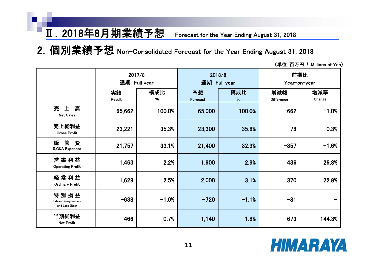#### Ⅱ.2018年8月期業績予想 Forecast for the Year Ending August 31, 2018

2. 個別業績予想 Non-Consolidated Forecast for the Year Ending August 31, 2018

|                                                       | 2017/8<br>通期 Full year |          | 2018/8         | 通期 Full year | 前期比<br>Year-on-year      |               |  |
|-------------------------------------------------------|------------------------|----------|----------------|--------------|--------------------------|---------------|--|
|                                                       | 実績<br>Result           | 構成比<br>% | 予想<br>Forecast | 構成比<br>%     | 増減額<br><b>Difference</b> | 増減率<br>Change |  |
| 売<br>上高<br><b>Net Sales</b>                           | 65,662                 | 100.0%   | 65,000         | 100.0%       | $-662$                   | $-1.0%$       |  |
| 売上総利益<br><b>Gross Profit</b>                          | 23,221                 | 35.3%    | 23,300         | 35.8%        | 78                       | 0.3%          |  |
| 管<br>費<br>販<br><b>S,G&amp;A Expenses</b>              | 21,757                 | 33.1%    | 21,400         | 32.9%        | $-357$                   | $-1.6%$       |  |
| 営業利益<br><b>Operating Profit</b>                       | 1,463                  | 2.2%     | 1,900          | 2.9%         | 436                      | 29.8%         |  |
| 経常利益<br><b>Ordinary Profit</b>                        | 1,629                  | 2.5%     | 2,000          | 3.1%         | 370                      | 22.8%         |  |
| 特別損益<br><b>Extraordinary Income</b><br>and Loss (Net) | $-638$                 | $-1.0%$  | $-720$         | $-1.1%$      | $-81$                    | -             |  |
| 当期純利益<br>Net Profit                                   | 466                    | 0.7%     | 1,140          | 1.8%         | 673                      | 144.3%        |  |